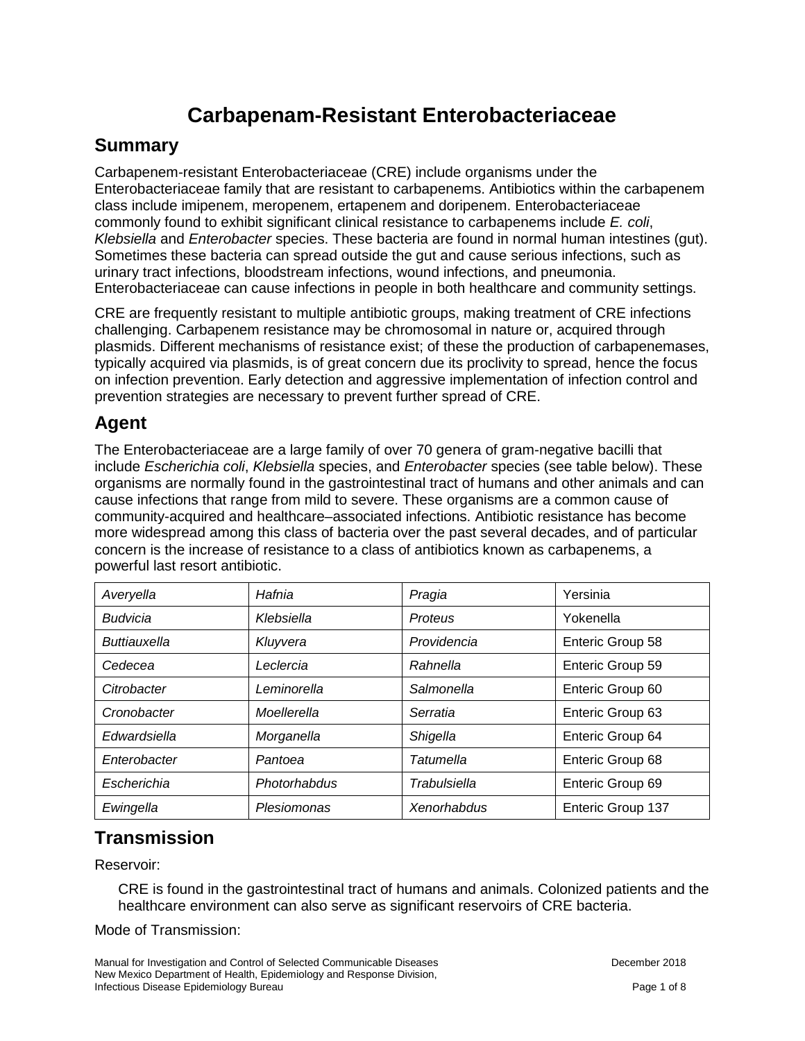# **Carbapenam-Resistant Enterobacteriaceae**

#### **Summary**

Carbapenem-resistant Enterobacteriaceae (CRE) include organisms under the Enterobacteriaceae family that are resistant to carbapenems. Antibiotics within the carbapenem class include imipenem, meropenem, ertapenem and doripenem. Enterobacteriaceae commonly found to exhibit significant clinical resistance to carbapenems include *E. coli*, *Klebsiella* and *Enterobacter* species. These bacteria are found in normal human intestines (gut). Sometimes these bacteria can spread outside the gut and cause serious infections, such as urinary tract infections, bloodstream infections, wound infections, and pneumonia. Enterobacteriaceae can cause infections in people in both healthcare and community settings.

CRE are frequently resistant to multiple antibiotic groups, making treatment of CRE infections challenging. Carbapenem resistance may be chromosomal in nature or, acquired through plasmids. Different mechanisms of resistance exist; of these the production of carbapenemases, typically acquired via plasmids, is of great concern due its proclivity to spread, hence the focus on infection prevention. Early detection and aggressive implementation of infection control and prevention strategies are necessary to prevent further spread of CRE.

#### **Agent**

The Enterobacteriaceae are a large family of over 70 genera of gram-negative bacilli that include *Escherichia coli*, *Klebsiella* species, and *Enterobacter* species (see table below). These organisms are normally found in the gastrointestinal tract of humans and other animals and can cause infections that range from mild to severe. These organisms are a common cause of community-acquired and healthcare–associated infections. Antibiotic resistance has become more widespread among this class of bacteria over the past several decades, and of particular concern is the increase of resistance to a class of antibiotics known as carbapenems, a powerful last resort antibiotic.

| Averyella       | Hafnia       | Pragia       | Yersinia          |
|-----------------|--------------|--------------|-------------------|
| <b>Budvicia</b> | Klebsiella   | Proteus      | Yokenella         |
| Buttiauxella    | Kluyvera     | Providencia  | Enteric Group 58  |
| Cedecea         | Leclercia    | Rahnella     | Enteric Group 59  |
| Citrobacter     | Leminorella  | Salmonella   | Enteric Group 60  |
| Cronobacter     | Moellerella  | Serratia     | Enteric Group 63  |
| Edwardsiella    | Morganella   | Shigella     | Enteric Group 64  |
| Enterobacter    | Pantoea      | Tatumella    | Enteric Group 68  |
| Escherichia     | Photorhabdus | Trabulsiella | Enteric Group 69  |
| Ewingella       | Plesiomonas  | Xenorhabdus  | Enteric Group 137 |

#### **Transmission**

Reservoir:

CRE is found in the gastrointestinal tract of humans and animals. Colonized patients and the healthcare environment can also serve as significant reservoirs of CRE bacteria.

#### Mode of Transmission:

Manual for Investigation and Control of Selected Communicable Diseases **December 2018** December 2018 New Mexico Department of Health, Epidemiology and Response Division, Infectious Disease Epidemiology Bureau Page 1 of 8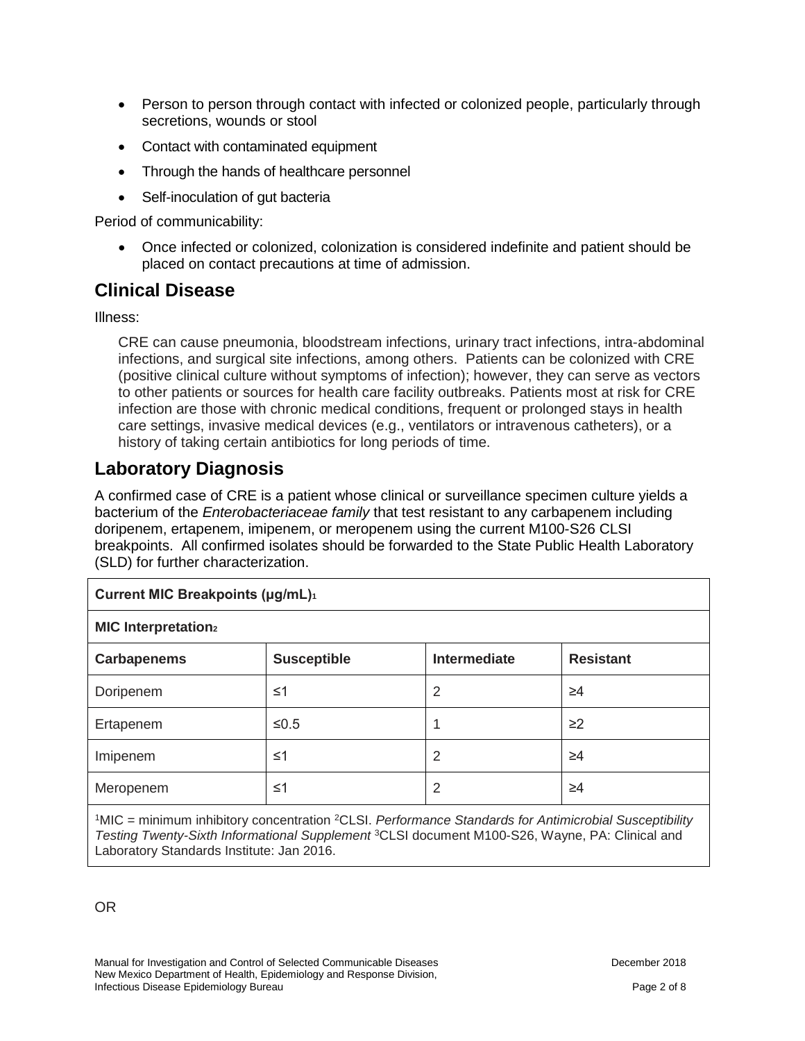- Person to person through contact with infected or colonized people, particularly through secretions, wounds or stool
- Contact with contaminated equipment
- Through the hands of healthcare personnel
- Self-inoculation of gut bacteria

Period of communicability:

• Once infected or colonized, colonization is considered indefinite and patient should be placed on contact precautions at time of admission.

#### **Clinical Disease**

Illness:

CRE can cause pneumonia, bloodstream infections, urinary tract infections, intra-abdominal infections, and surgical site infections, among others. Patients can be colonized with CRE (positive clinical culture without symptoms of infection); however, they can serve as vectors to other patients or sources for health care facility outbreaks. Patients most at risk for CRE infection are those with chronic medical conditions, frequent or prolonged stays in health care settings, invasive medical devices (e.g., ventilators or intravenous catheters), or a history of taking certain antibiotics for long periods of time.

### **Laboratory Diagnosis**

A confirmed case of CRE is a patient whose clinical or surveillance specimen culture yields a bacterium of the *Enterobacteriaceae family* that test resistant to any carbapenem including doripenem, ertapenem, imipenem, or meropenem using the current M100-S26 CLSI breakpoints. All confirmed isolates should be forwarded to the State Public Health Laboratory (SLD) for further characterization.

| <b>Current MIC Breakpoints (µg/mL)</b> <sup>1</sup> |                    |                     |                  |  |
|-----------------------------------------------------|--------------------|---------------------|------------------|--|
| <b>MIC Interpretation</b> <sub>2</sub>              |                    |                     |                  |  |
| <b>Carbapenems</b>                                  | <b>Susceptible</b> | <b>Intermediate</b> | <b>Resistant</b> |  |
| Doripenem                                           | $\leq 1$           | 2                   | ≥4               |  |
| Ertapenem                                           | ≤0.5               |                     | $\geq$ 2         |  |
| Imipenem                                            | $\leq 1$           | 2                   | $\geq 4$         |  |
| Meropenem                                           | ≤1                 | 2                   | ≥4               |  |
|                                                     |                    |                     |                  |  |

1MIC = minimum inhibitory concentration 2CLSI. *Performance Standards for Antimicrobial Susceptibility Testing Twenty-Sixth Informational Supplement* 3CLSI document M100-S26, Wayne, PA: Clinical and Laboratory Standards Institute: Jan 2016.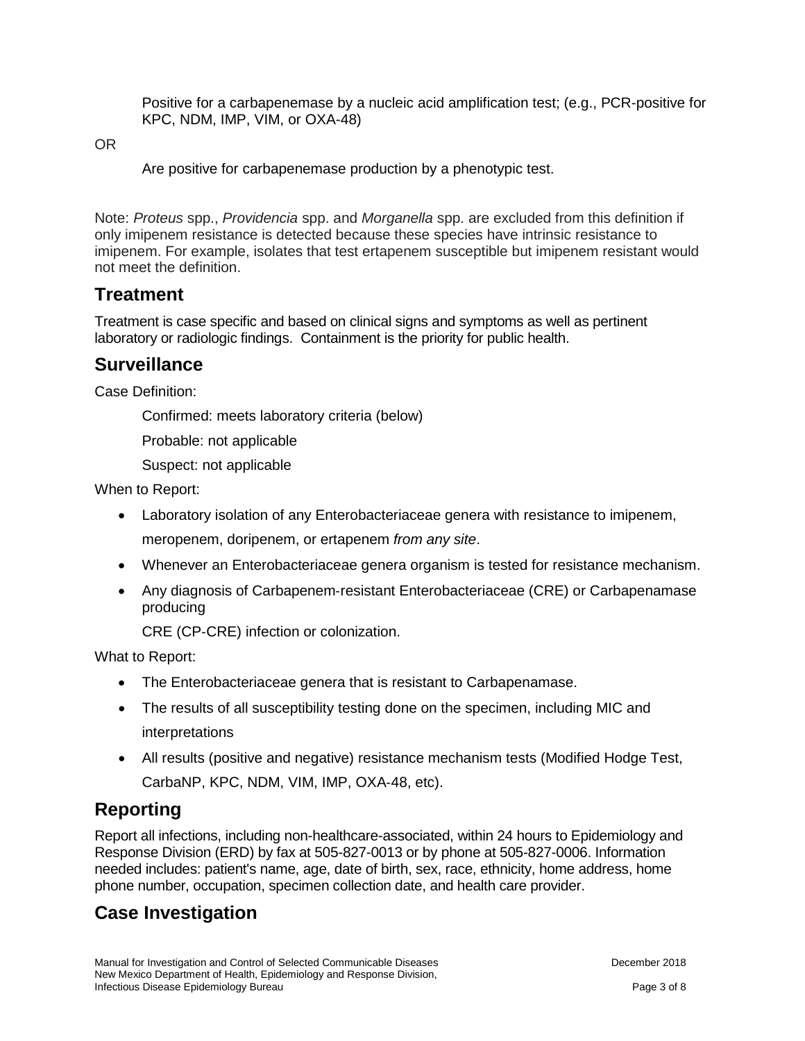Positive for a carbapenemase by a nucleic acid amplification test; (e.g., PCR-positive for KPC, NDM, IMP, VIM, or OXA-48)

OR

Are positive for carbapenemase production by a phenotypic test.

Note: *Proteus* spp., *Providencia* spp. and *Morganella* spp. are excluded from this definition if only imipenem resistance is detected because these species have intrinsic resistance to imipenem. For example, isolates that test ertapenem susceptible but imipenem resistant would not meet the definition.

#### **Treatment**

Treatment is case specific and based on clinical signs and symptoms as well as pertinent laboratory or radiologic findings. Containment is the priority for public health.

#### **Surveillance**

Case Definition:

Confirmed: meets laboratory criteria (below)

Probable: not applicable

Suspect: not applicable

When to Report:

- Laboratory isolation of any Enterobacteriaceae genera with resistance to imipenem, meropenem, doripenem, or ertapenem *from any site*.
- Whenever an Enterobacteriaceae genera organism is tested for resistance mechanism.
- Any diagnosis of Carbapenem-resistant Enterobacteriaceae (CRE) or Carbapenamase producing

CRE (CP‐CRE) infection or colonization.

What to Report:

- The Enterobacteriaceae genera that is resistant to Carbapenamase.
- The results of all susceptibility testing done on the specimen, including MIC and interpretations
- All results (positive and negative) resistance mechanism tests (Modified Hodge Test, CarbaNP, KPC, NDM, VIM, IMP, OXA‐48, etc).

#### **Reporting**

Report all infections, including non-healthcare-associated, within 24 hours to Epidemiology and Response Division (ERD) by fax at 505-827-0013 or by phone at 505-827-0006. Information needed includes: patient's name, age, date of birth, sex, race, ethnicity, home address, home phone number, occupation, specimen collection date, and health care provider.

#### **Case Investigation**

Manual for Investigation and Control of Selected Communicable Diseases **December 2018** December 2018 New Mexico Department of Health, Epidemiology and Response Division, Infectious Disease Epidemiology Bureau Page 3 of 8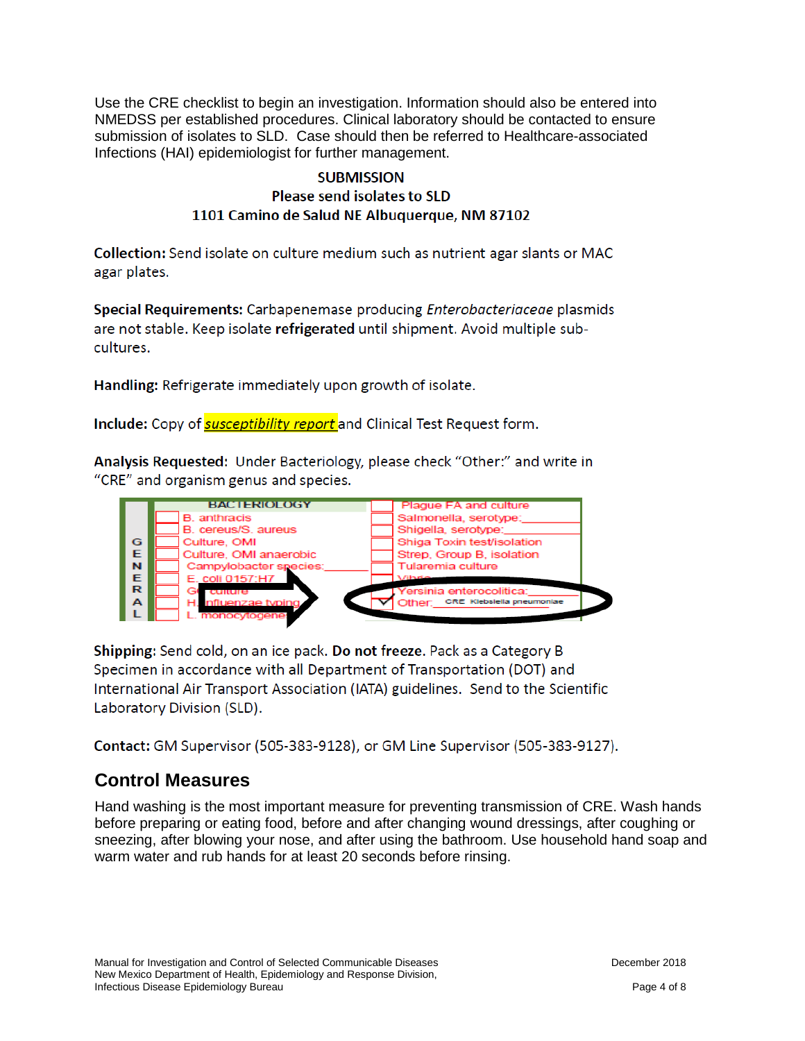Use the CRE checklist to begin an investigation. Information should also be entered into NMEDSS per established procedures. Clinical laboratory should be contacted to ensure submission of isolates to SLD. Case should then be referred to Healthcare-associated Infections (HAI) epidemiologist for further management.

#### **SUBMISSION** Please send isolates to SLD 1101 Camino de Salud NE Albuquerque, NM 87102

Collection: Send isolate on culture medium such as nutrient agar slants or MAC agar plates.

Special Requirements: Carbapenemase producing *Enterobacteriaceae* plasmids are not stable. Keep isolate refrigerated until shipment. Avoid multiple subcultures.

Handling: Refrigerate immediately upon growth of isolate.

Include: Copy of **susceptibility report** and Clinical Test Request form.

Analysis Requested: Under Bacteriology, please check "Other:" and write in "CRE" and organism genus and species.



Shipping: Send cold, on an ice pack. Do not freeze. Pack as a Category B Specimen in accordance with all Department of Transportation (DOT) and International Air Transport Association (IATA) guidelines. Send to the Scientific Laboratory Division (SLD).

Contact: GM Supervisor (505-383-9128), or GM Line Supervisor (505-383-9127).

## **Control Measures**

Hand washing is the most important measure for preventing transmission of CRE. Wash hands before preparing or eating food, before and after changing wound dressings, after coughing or sneezing, after blowing your nose, and after using the bathroom. Use household hand soap and warm water and rub hands for at least 20 seconds before rinsing.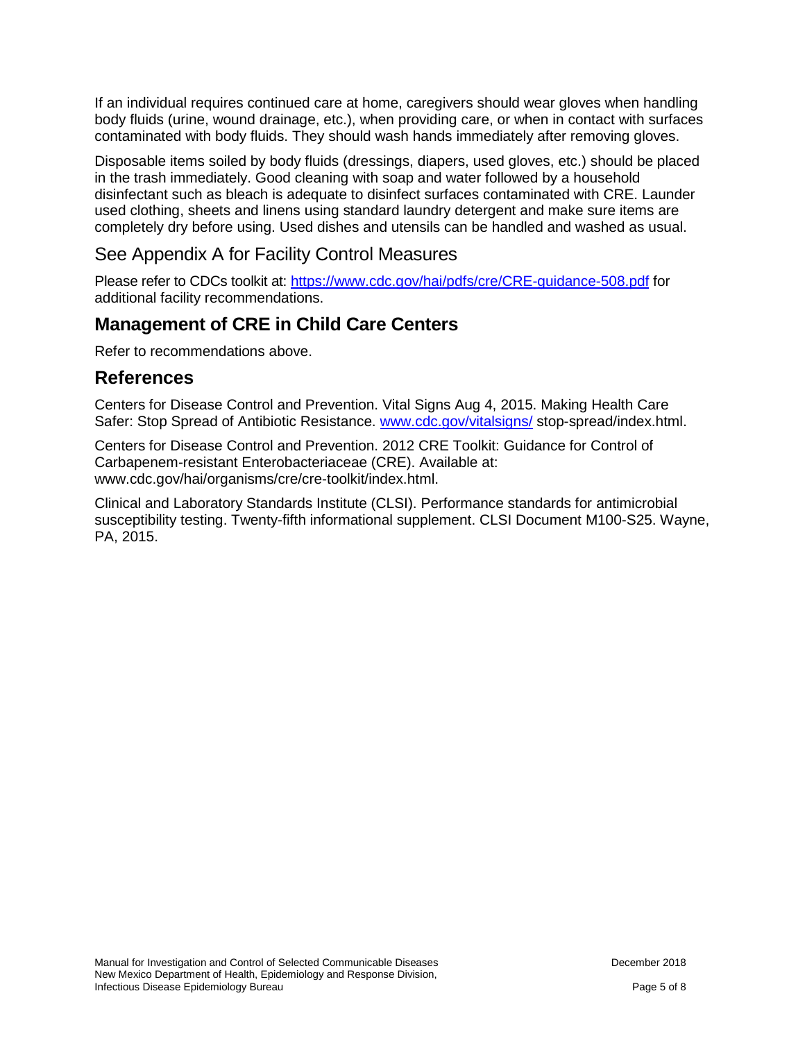If an individual requires continued care at home, caregivers should wear gloves when handling body fluids (urine, wound drainage, etc.), when providing care, or when in contact with surfaces contaminated with body fluids. They should wash hands immediately after removing gloves.

Disposable items soiled by body fluids (dressings, diapers, used gloves, etc.) should be placed in the trash immediately. Good cleaning with soap and water followed by a household disinfectant such as bleach is adequate to disinfect surfaces contaminated with CRE. Launder used clothing, sheets and linens using standard laundry detergent and make sure items are completely dry before using. Used dishes and utensils can be handled and washed as usual.

#### See Appendix A for Facility Control Measures

Please refer to CDCs toolkit at:<https://www.cdc.gov/hai/pdfs/cre/CRE-guidance-508.pdf> for additional facility recommendations.

#### **Management of CRE in Child Care Centers**

Refer to recommendations above.

#### **References**

Centers for Disease Control and Prevention. Vital Signs Aug 4, 2015. Making Health Care Safer: Stop Spread of Antibiotic Resistance. [www.cdc.gov/vitalsigns/](http://www.cdc.gov/vitalsigns/) stop-spread/index.html.

Centers for Disease Control and Prevention. 2012 CRE Toolkit: Guidance for Control of Carbapenem-resistant Enterobacteriaceae (CRE). Available at: www.cdc.gov/hai/organisms/cre/cre-toolkit/index.html.

Clinical and Laboratory Standards Institute (CLSI). Performance standards for antimicrobial susceptibility testing. Twenty-fifth informational supplement. CLSI Document M100-S25. Wayne, PA, 2015.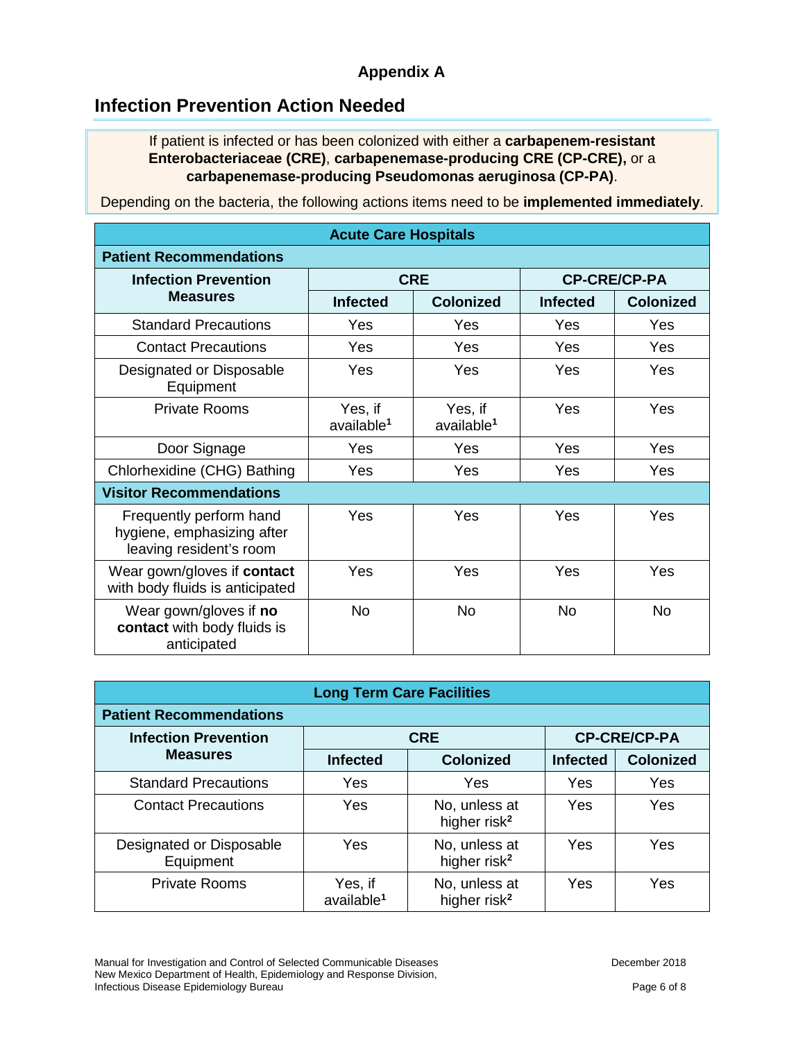#### **Appendix A**

### **Infection Prevention Action Needed**

If patient is infected or has been colonized with either a **carbapenem-resistant Enterobacteriaceae (CRE)**, **carbapenemase-producing CRE (CP-CRE),** or a **carbapenemase-producing Pseudomonas aeruginosa (CP-PA)**.

Depending on the bacteria, the following actions items need to be **implemented immediately**.

| <b>Acute Care Hospitals</b>                                                      |                                   |                                   |                     |                  |  |
|----------------------------------------------------------------------------------|-----------------------------------|-----------------------------------|---------------------|------------------|--|
| <b>Patient Recommendations</b>                                                   |                                   |                                   |                     |                  |  |
| <b>Infection Prevention</b>                                                      | <b>CRE</b>                        |                                   | <b>CP-CRE/CP-PA</b> |                  |  |
| <b>Measures</b>                                                                  | <b>Infected</b>                   | <b>Colonized</b>                  | <b>Infected</b>     | <b>Colonized</b> |  |
| <b>Standard Precautions</b>                                                      | Yes                               | Yes                               | Yes                 | Yes              |  |
| <b>Contact Precautions</b>                                                       | Yes                               | Yes                               | Yes                 | Yes              |  |
| Designated or Disposable<br>Equipment                                            | Yes                               | Yes                               | Yes                 | Yes              |  |
| <b>Private Rooms</b>                                                             | Yes, if<br>available <sup>1</sup> | Yes, if<br>available <sup>1</sup> | Yes                 | Yes              |  |
| Door Signage                                                                     | Yes                               | Yes                               | Yes                 | Yes              |  |
| Chlorhexidine (CHG) Bathing                                                      | Yes                               | Yes                               | Yes                 | Yes              |  |
| <b>Visitor Recommendations</b>                                                   |                                   |                                   |                     |                  |  |
| Frequently perform hand<br>hygiene, emphasizing after<br>leaving resident's room | Yes                               | Yes                               | Yes                 | Yes              |  |
| Wear gown/gloves if contact<br>with body fluids is anticipated                   | Yes                               | Yes                               | Yes                 | Yes              |  |
| Wear gown/gloves if no<br>contact with body fluids is<br>anticipated             | <b>No</b>                         | No                                | <b>No</b>           | <b>No</b>        |  |

| <b>Long Term Care Facilities</b>      |                                   |                                           |                     |                  |  |
|---------------------------------------|-----------------------------------|-------------------------------------------|---------------------|------------------|--|
| <b>Patient Recommendations</b>        |                                   |                                           |                     |                  |  |
| <b>Infection Prevention</b>           | <b>CRE</b>                        |                                           | <b>CP-CRE/CP-PA</b> |                  |  |
| <b>Measures</b>                       | <b>Infected</b>                   | <b>Colonized</b>                          | <b>Infected</b>     | <b>Colonized</b> |  |
| <b>Standard Precautions</b>           | Yes                               | Yes                                       | Yes                 | Yes              |  |
| <b>Contact Precautions</b>            | Yes                               | No, unless at<br>higher risk <sup>2</sup> | Yes                 | Yes              |  |
| Designated or Disposable<br>Equipment | Yes                               | No, unless at<br>higher risk <sup>2</sup> | Yes                 | Yes              |  |
| <b>Private Rooms</b>                  | Yes, if<br>available <sup>1</sup> | No, unless at<br>higher risk <sup>2</sup> | Yes                 | Yes              |  |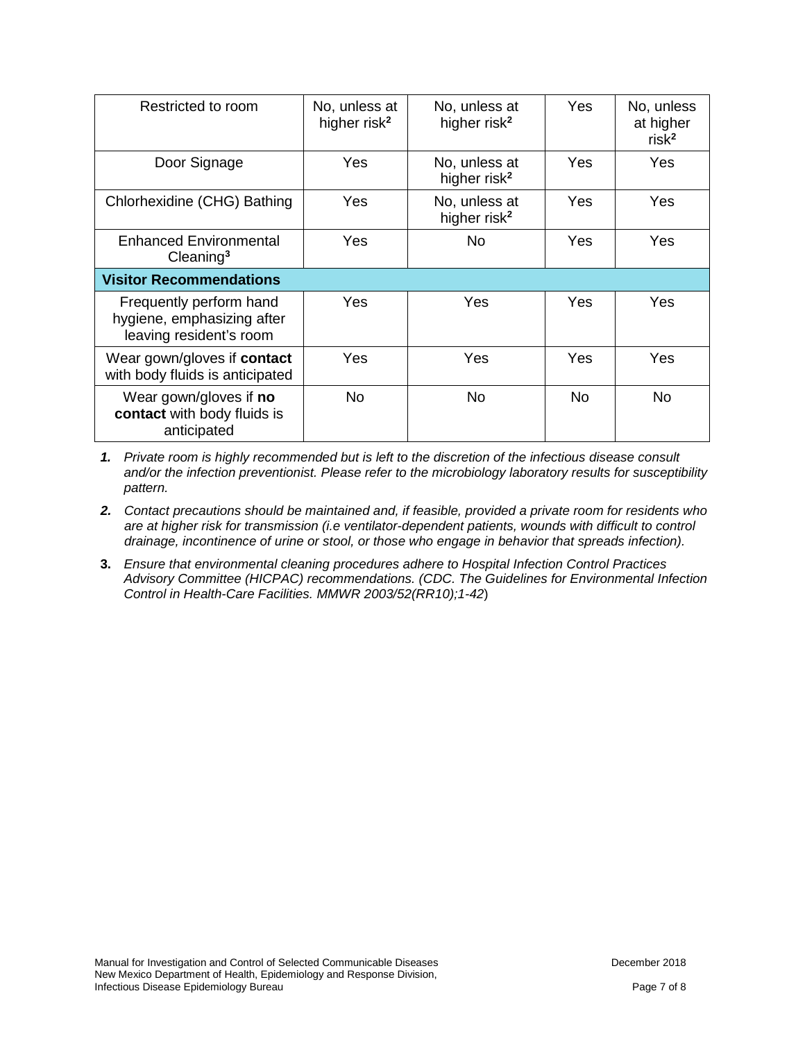| Restricted to room                                                               | No, unless at<br>higher risk <sup>2</sup> | No, unless at<br>higher risk <sup>2</sup> | Yes       | No, unless<br>at higher<br>risk <sup>2</sup> |
|----------------------------------------------------------------------------------|-------------------------------------------|-------------------------------------------|-----------|----------------------------------------------|
| Door Signage                                                                     | Yes                                       | No, unless at<br>higher risk <sup>2</sup> | Yes       | Yes                                          |
| Chlorhexidine (CHG) Bathing                                                      | Yes                                       | No, unless at<br>higher risk <sup>2</sup> | Yes       | <b>Yes</b>                                   |
| <b>Enhanced Environmental</b><br>Cleaning <sup>3</sup>                           | Yes                                       | No.                                       | Yes       | Yes                                          |
| <b>Visitor Recommendations</b>                                                   |                                           |                                           |           |                                              |
| Frequently perform hand<br>hygiene, emphasizing after<br>leaving resident's room | Yes                                       | Yes                                       | Yes       | <b>Yes</b>                                   |
| Wear gown/gloves if contact<br>with body fluids is anticipated                   | Yes                                       | Yes                                       | Yes       | Yes                                          |
| Wear gown/gloves if no<br>contact with body fluids is<br>anticipated             | <b>No</b>                                 | <b>No</b>                                 | <b>No</b> | <b>No</b>                                    |

*1. Private room is highly recommended but is left to the discretion of the infectious disease consult and/or the infection preventionist. Please refer to the microbiology laboratory results for susceptibility pattern.* 

- *2. Contact precautions should be maintained and, if feasible, provided a private room for residents who are at higher risk for transmission (i.e ventilator-dependent patients, wounds with difficult to control drainage, incontinence of urine or stool, or those who engage in behavior that spreads infection).*
- **3.** *Ensure that environmental cleaning procedures adhere to Hospital Infection Control Practices Advisory Committee (HICPAC) recommendations. (CDC. The Guidelines for Environmental Infection Control in Health-Care Facilities. MMWR 2003/52(RR10);1-42*)